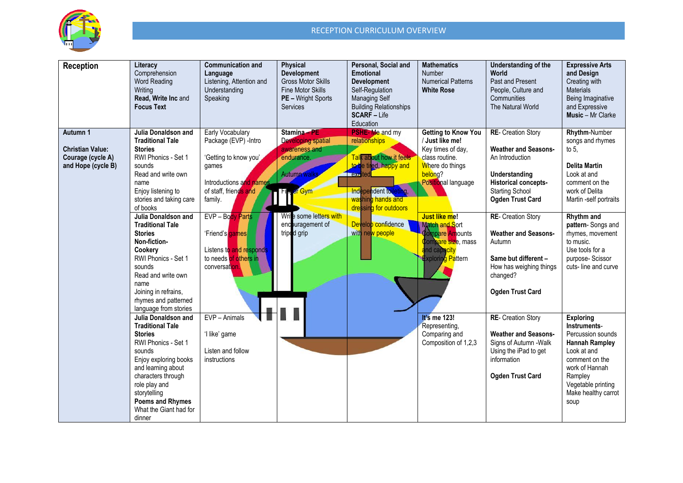

| <b>Reception</b>                                                               | Literacy<br>Comprehension<br><b>Word Reading</b><br>Writing<br>Read, Write Inc and<br><b>Focus Text</b>                                                                                                                                                                                                                                                                                                                             | <b>Communication and</b><br>Language<br>Listening, Attention and<br>Understanding<br>Speaking                                                                                                                                                          | <b>Physical</b><br><b>Development</b><br><b>Gross Motor Skills</b><br>Fine Motor Skills<br>PE - Wright Sports<br>Services                                                         | Personal, Social and<br>Emotional<br><b>Development</b><br>Self-Regulation<br><b>Managing Self</b><br><b>Building Relationships</b><br><b>SCARF - Life</b><br>Education                                                 | <b>Mathematics</b><br>Number<br><b>Numerical Patterns</b><br><b>White Rose</b>                                                                                                                                                                                    | Understanding of the<br>World<br>Past and Present<br>People, Culture and<br>Communities<br>The Natural World                                                                                                                                                                                                                              | <b>Expressive Arts</b><br>and Design<br>Creating with<br><b>Materials</b><br>Being Imaginative<br>and Expressive<br><b>Music</b> - Mr Clarke                                                                                                                                               |
|--------------------------------------------------------------------------------|-------------------------------------------------------------------------------------------------------------------------------------------------------------------------------------------------------------------------------------------------------------------------------------------------------------------------------------------------------------------------------------------------------------------------------------|--------------------------------------------------------------------------------------------------------------------------------------------------------------------------------------------------------------------------------------------------------|-----------------------------------------------------------------------------------------------------------------------------------------------------------------------------------|-------------------------------------------------------------------------------------------------------------------------------------------------------------------------------------------------------------------------|-------------------------------------------------------------------------------------------------------------------------------------------------------------------------------------------------------------------------------------------------------------------|-------------------------------------------------------------------------------------------------------------------------------------------------------------------------------------------------------------------------------------------------------------------------------------------------------------------------------------------|--------------------------------------------------------------------------------------------------------------------------------------------------------------------------------------------------------------------------------------------------------------------------------------------|
| Autumn 1<br><b>Christian Value:</b><br>Courage (cycle A)<br>and Hope (cycle B) | Julia Donaldson and<br><b>Traditional Tale</b><br><b>Stories</b><br>RWI Phonics - Set 1<br>sounds<br>Read and write own<br>name<br>Enjoy listening to<br>stories and taking care<br>of books<br>Julia Donaldson and<br><b>Traditional Tale</b><br><b>Stories</b><br>Non-fiction-<br>Cookerv<br>RWI Phonics - Set 1<br>sounds<br>Read and write own<br>name<br>Joining in refrains,<br>rhymes and patterned<br>language from stories | Early Vocabulary<br>Package (EVP) - Intro<br>'Getting to know you'<br>games<br>Introductions and names<br>of staff, friends and<br>family.<br>EVP - Body Parts<br>'Friend's games<br>Listens to and responds<br>to needs of others in<br>conversation. | Stamina - PE<br><b>Developing spatial</b><br>awareness and<br>endurance.<br><b>Autumn walks</b><br><sup>F</sup> Gym<br>Write some letters with<br>encouragement of<br>triped grip | <b>PSHE-Me and my</b><br>relationships<br>Talk about how it feels<br>to be tired, happy and<br>excited<br>Independent toileting,<br>washing hands and<br>dressing for outdoors<br>Develop confidence<br>with new people | <b>Getting to Know You</b><br>/ Just like me!<br>Key times of day,<br>class routine.<br>Where do things<br>belong?<br>Positional language<br><b>Just like me!</b><br>Match and Sort<br>Compare Amounts<br>Compare size, mass<br>and capacity<br>Exploring Pattern | <b>RE-</b> Creation Story<br><b>Weather and Seasons-</b><br>An Introduction<br>Understanding<br>Historical concepts-<br><b>Starting School</b><br><b>Ogden Trust Card</b><br><b>RE-</b> Creation Story<br><b>Weather and Seasons-</b><br>Autumn<br>Same but different -<br>How has weighing things<br>changed?<br><b>Ogden Trust Card</b> | <b>Rhythm-Number</b><br>songs and rhymes<br>to $5$ ,<br><b>Delita Martin</b><br>Look at and<br>comment on the<br>work of Delita<br>Martin -self portraits<br>Rhythm and<br>pattern-Songs and<br>rhymes, movement<br>to music.<br>Use tools for a<br>purpose-Scissor<br>cuts-line and curve |
|                                                                                | <b>Julia Donaldson and</b><br><b>Traditional Tale</b><br><b>Stories</b><br>RWI Phonics - Set 1<br>sounds<br>Enjoy exploring books<br>and learning about<br>characters through<br>role play and<br>storytelling<br><b>Poems and Rhymes</b><br>What the Giant had for<br>dinner                                                                                                                                                       | EVP - Animals<br>'I like' game<br>Listen and follow<br>instructions                                                                                                                                                                                    |                                                                                                                                                                                   |                                                                                                                                                                                                                         | It's me 123!<br>Representing,<br>Comparing and<br>Composition of 1,2,3                                                                                                                                                                                            | <b>RE- Creation Story</b><br><b>Weather and Seasons-</b><br>Signs of Autumn - Walk<br>Using the iPad to get<br>information<br><b>Ogden Trust Card</b>                                                                                                                                                                                     | <b>Exploring</b><br>Instruments-<br>Percussion sounds<br><b>Hannah Rampley</b><br>Look at and<br>comment on the<br>work of Hannah<br>Rampley<br>Vegetable printing<br>Make healthy carrot<br>soup                                                                                          |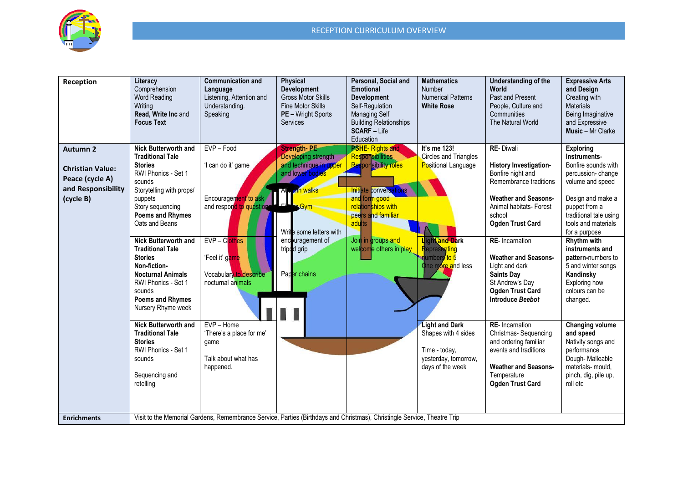

| Reception                                                                                        | Literacy<br>Comprehension<br><b>Word Reading</b><br>Writing<br>Read, Write Inc and<br><b>Focus Text</b>                                                                                                                                                                                                                                                                                                                                                                                                                                                          | <b>Communication and</b><br>Language<br>Listening, Attention and<br>Understanding.<br>Speaking                                                                                                                                                              | <b>Physical</b><br><b>Development</b><br><b>Gross Motor Skills</b><br><b>Fine Motor Skills</b><br><b>PE</b> - Wright Sports<br><b>Services</b>                                                            | Personal, Social and<br><b>Emotional</b><br><b>Development</b><br>Self-Regulation<br><b>Managing Self</b><br><b>Building Relationships</b><br><b>SCARF</b> - Life<br>Education                                                    | <b>Mathematics</b><br>Number<br><b>Numerical Patterns</b><br><b>White Rose</b>                                                                                                                                                                                | Understanding of the<br><b>World</b><br>Past and Present<br>People, Culture and<br>Communities<br>The Natural World                                                                                                                                                                                                                                                                                                                                                                                                                            | <b>Expressive Arts</b><br>and Design<br>Creating with<br><b>Materials</b><br>Being Imaginative<br>and Expressive<br><b>Music</b> - Mr Clarke                                                                                                                                                                                                                                                                                                                                                                      |  |  |
|--------------------------------------------------------------------------------------------------|------------------------------------------------------------------------------------------------------------------------------------------------------------------------------------------------------------------------------------------------------------------------------------------------------------------------------------------------------------------------------------------------------------------------------------------------------------------------------------------------------------------------------------------------------------------|-------------------------------------------------------------------------------------------------------------------------------------------------------------------------------------------------------------------------------------------------------------|-----------------------------------------------------------------------------------------------------------------------------------------------------------------------------------------------------------|-----------------------------------------------------------------------------------------------------------------------------------------------------------------------------------------------------------------------------------|---------------------------------------------------------------------------------------------------------------------------------------------------------------------------------------------------------------------------------------------------------------|------------------------------------------------------------------------------------------------------------------------------------------------------------------------------------------------------------------------------------------------------------------------------------------------------------------------------------------------------------------------------------------------------------------------------------------------------------------------------------------------------------------------------------------------|-------------------------------------------------------------------------------------------------------------------------------------------------------------------------------------------------------------------------------------------------------------------------------------------------------------------------------------------------------------------------------------------------------------------------------------------------------------------------------------------------------------------|--|--|
| <b>Autumn 2</b><br><b>Christian Value:</b><br>Peace (cycle A)<br>and Responsibility<br>(cycle B) | <b>Nick Butterworth and</b><br><b>Traditional Tale</b><br><b>Stories</b><br>RWI Phonics - Set 1<br>sounds<br>Storytelling with props/<br>puppets<br>Story sequencing<br><b>Poems and Rhymes</b><br>Oats and Beans<br><b>Nick Butterworth and</b><br><b>Traditional Tale</b><br><b>Stories</b><br>Non-fiction-<br><b>Nocturnal Animals</b><br>RWI Phonics - Set 1<br>sounds<br>Poems and Rhymes<br>Nursery Rhyme week<br><b>Nick Butterworth and</b><br><b>Traditional Tale</b><br><b>Stories</b><br>RWI Phonics - Set 1<br>sounds<br>Sequencing and<br>retelling | EVP-Food<br>'I can do it' game<br>Encouragement to ask<br>and respond to question<br>$EVP - Clothes$<br>'Feel it' game<br>Vocabulary to describe<br>nocturnal animals<br>EVP - Home<br>'There's a place for me'<br>game<br>Talk about what has<br>happened. | <b>Strength-PE</b><br>Developing strength<br>and technique in upper<br>and lower bodies<br>nn walks<br>Al R<br>$\sqrt{Gym}$<br>Write some letters with<br>encouragement of<br>tripod grip<br>Paper chains | <b>PSHE-Rights and</b><br><b>Responsibilities</b><br><b>Responsibility roles</b><br>Initiate conversations<br>and form good<br>relationships with<br>peers and familiar<br>adults<br>Join in groups and<br>welcome others in play | It's me 123!<br><b>Circles and Triangles</b><br>Positional Language<br>Light and Dark<br><b>Representing</b><br>umbers to 5<br>One more and less<br><b>Light and Dark</b><br>Shapes with 4 sides<br>Time - today,<br>yesterday, tomorrow,<br>days of the week | <b>RE-Diwali</b><br>History Investigation-<br>Bonfire night and<br>Remembrance traditions<br><b>Weather and Seasons-</b><br>Animal habitats- Forest<br>school<br><b>Ogden Trust Card</b><br><b>RE-</b> Incarnation<br><b>Weather and Seasons-</b><br>Light and dark<br><b>Saints Day</b><br>St Andrew's Day<br><b>Ogden Trust Card</b><br><b>Introduce Beebot</b><br><b>RE-</b> Incarnation<br>Christmas-Sequencing<br>and ordering familiar<br>events and traditions<br><b>Weather and Seasons-</b><br>Temperature<br><b>Ogden Trust Card</b> | <b>Exploring</b><br>Instruments-<br>Bonfire sounds with<br>percussion-change<br>volume and speed<br>Design and make a<br>puppet from a<br>traditional tale using<br>tools and materials<br>for a purpose<br><b>Rhythm with</b><br>instruments and<br>pattern-numbers to<br>5 and winter songs<br>Kandinsky<br>Exploring how<br>colours can be<br>changed.<br><b>Changing volume</b><br>and speed<br>Nativity songs and<br>performance<br>Dough-Malleable<br>materials- mould,<br>pinch, dig, pile up,<br>roll etc |  |  |
| <b>Enrichments</b>                                                                               | Visit to the Memorial Gardens, Remembrance Service, Parties (Birthdays and Christmas), Christingle Service, Theatre Trip                                                                                                                                                                                                                                                                                                                                                                                                                                         |                                                                                                                                                                                                                                                             |                                                                                                                                                                                                           |                                                                                                                                                                                                                                   |                                                                                                                                                                                                                                                               |                                                                                                                                                                                                                                                                                                                                                                                                                                                                                                                                                |                                                                                                                                                                                                                                                                                                                                                                                                                                                                                                                   |  |  |